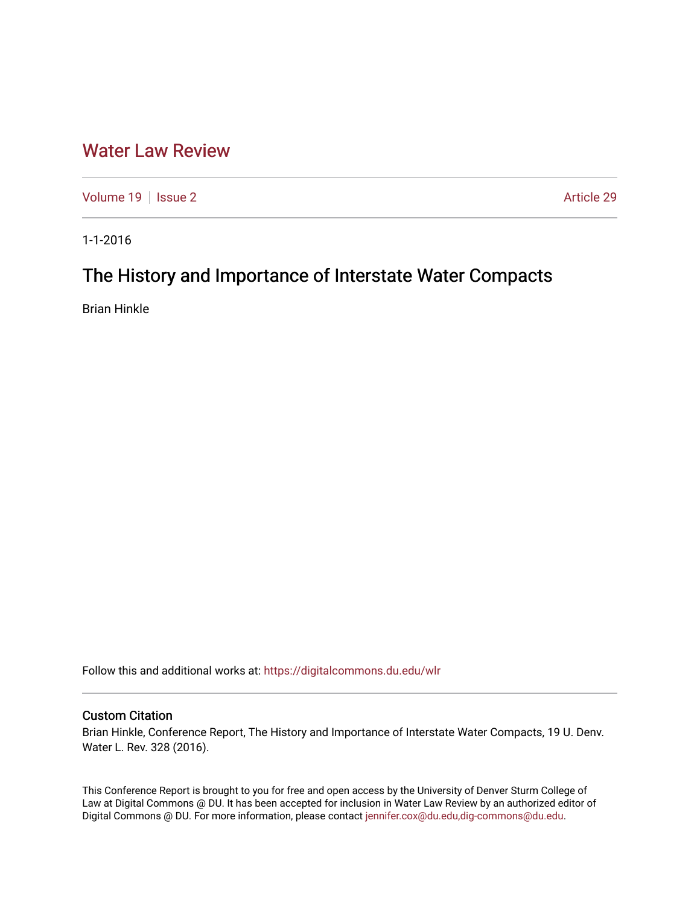## [Water Law Review](https://digitalcommons.du.edu/wlr)

[Volume 19](https://digitalcommons.du.edu/wlr/vol19) | [Issue 2](https://digitalcommons.du.edu/wlr/vol19/iss2) Article 29

1-1-2016

# The History and Importance of Interstate Water Compacts

Brian Hinkle

Follow this and additional works at: [https://digitalcommons.du.edu/wlr](https://digitalcommons.du.edu/wlr?utm_source=digitalcommons.du.edu%2Fwlr%2Fvol19%2Fiss2%2F29&utm_medium=PDF&utm_campaign=PDFCoverPages) 

#### Custom Citation

Brian Hinkle, Conference Report, The History and Importance of Interstate Water Compacts, 19 U. Denv. Water L. Rev. 328 (2016).

This Conference Report is brought to you for free and open access by the University of Denver Sturm College of Law at Digital Commons @ DU. It has been accepted for inclusion in Water Law Review by an authorized editor of Digital Commons @ DU. For more information, please contact [jennifer.cox@du.edu,dig-commons@du.edu](mailto:jennifer.cox@du.edu,dig-commons@du.edu).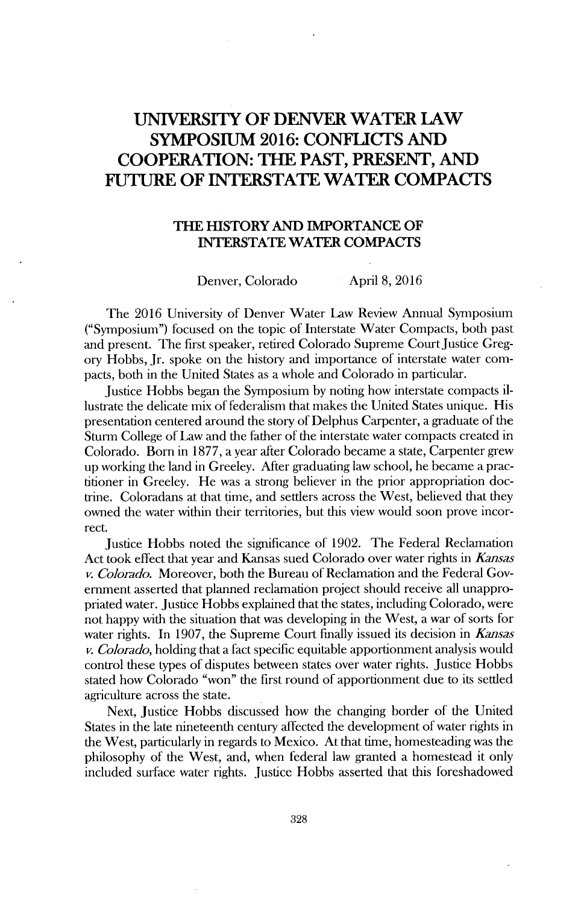### **UNIVERSITY OF DENVER WATER LAW SYMPOSIUM 2016: CONFLICTS AND COOPERATION: THE PAST, PRESENT, AND FUTURE OF INTERSTATE WATER COMPACTS**

#### **THE HISTORY AND IMPORTANCE OF INTERSTATE WATER COMPACTS**

Denver, Colorado April 8, 2016

The 2016 University of Denver Water Law Review Annual Symposium ("Symposium") focused on the topic of Interstate Water Compacts, both past and present. The first speaker, retired Colorado Supreme CourtJustice Gregory Hobbs, Jr. spoke on the history and importance of interstate water compacts, both in the United States as a whole and Colorado in particular.

Justice Hobbs began the Symposium by noting how interstate compacts illustrate the delicate mix of federalism that makes the United States unique. His presentation centered around the story of Delphus Carpenter, a graduate of the Sturm College of Law and the father of the interstate water compacts created in Colorado. Born in **1877,** a year after Colorado became a state, Carpenter grew up working the land in Greeley. After graduating law school, he became a practitioner in Greeley. He was a strong believer in the prior appropriation doctrine. Coloradans at that time, and settlers across the West, believed that they owned the water within their territories, but this view would soon prove incorrect.

Justice Hobbs noted the significance of 1902. The Federal Reclamation Act took effect that year and Kansas sued Colorado over water rights in *Kansas v. Colorado.* Moreover, both the Bureau of Reclamation and the Federal Government asserted that plaumed reclamation project should receive all unappropriated water. Justice Hobbs explained that the states, including Colorado, were not happy with the situation that was developing in the West, a war of sorts for water rights. In 1907, the Supreme Court finally issued its decision in *Kansas v. Colorado,* holding that a fact specific equitable apportionment analysis would control these types of disputes between states over water rights. Justice Hobbs stated how Colorado "won" the first round of apportionment due to its settled agriculture across the state.

Next, Justice Hobbs discussed how the changing border of the United States in the late nineteenth century affected the development of water rights in the West, particularly in regards to Mexico. At that time, homesteading was the philosophy of the West, and, when federal law granted a homestead it only included surface water rights. Justice Hobbs asserted that this foreshadowed